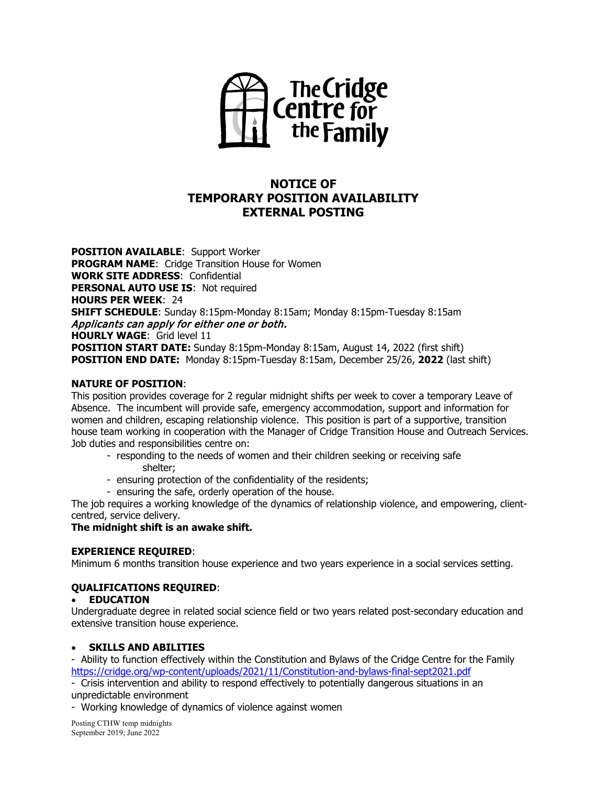

# **NOTICE OF TEMPORARY POSITION AVAILABILITY EXTERNAL POSTING**

**POSITION AVAILABLE**: Support Worker **PROGRAM NAME**: Cridge Transition House for Women **WORK SITE ADDRESS**: Confidential **PERSONAL AUTO USE IS: Not required HOURS PER WEEK**: 24 **SHIFT SCHEDULE**: Sunday 8:15pm-Monday 8:15am; Monday 8:15pm-Tuesday 8:15am Applicants can apply for either one or both. **HOURLY WAGE**: Grid level 11 **POSITION START DATE:** Sunday 8:15pm-Monday 8:15am, August 14, 2022 (first shift) **POSITION END DATE:** Monday 8:15pm-Tuesday 8:15am, December 25/26, **2022** (last shift)

# **NATURE OF POSITION**:

This position provides coverage for 2 regular midnight shifts per week to cover a temporary Leave of Absence. The incumbent will provide safe, emergency accommodation, support and information for women and children, escaping relationship violence. This position is part of a supportive, transition house team working in cooperation with the Manager of Cridge Transition House and Outreach Services. Job duties and responsibilities centre on:

- responding to the needs of women and their children seeking or receiving safe shelter;
- ensuring protection of the confidentiality of the residents;
- ensuring the safe, orderly operation of the house.

The job requires a working knowledge of the dynamics of relationship violence, and empowering, clientcentred, service delivery.

# **The midnight shift is an awake shift.**

#### **EXPERIENCE REQUIRED**:

Minimum 6 months transition house experience and two years experience in a social services setting.

# **QUALIFICATIONS REQUIRED**:

#### • **EDUCATION**

Undergraduate degree in related social science field or two years related post-secondary education and extensive transition house experience.

#### • **SKILLS AND ABILITIES**

- Ability to function effectively within the Constitution and Bylaws of the Cridge Centre for the Family <https://cridge.org/wp-content/uploads/2021/11/Constitution-and-bylaws-final-sept2021.pdf>

- Crisis intervention and ability to respond effectively to potentially dangerous situations in an unpredictable environment

- Working knowledge of dynamics of violence against women